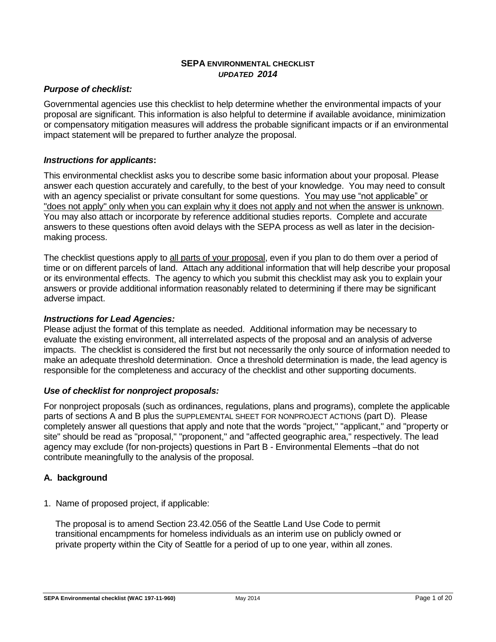### **SEPA ENVIRONMENTAL CHECKLIST** *UPDATED 2014*

# *Purpose of checklist:*

Governmental agencies use this checklist to help determine whether the environmental impacts of your proposal are significant. This information is also helpful to determine if available avoidance, minimization or compensatory mitigation measures will address the probable significant impacts or if an environmental impact statement will be prepared to further analyze the proposal.

## *Instructions for applicants***:**

This environmental checklist asks you to describe some basic information about your proposal. Please answer each question accurately and carefully, to the best of your knowledge. You may need to consult with an agency specialist or private consultant for some questions. You may use "not applicable" or "does not apply" only when you can explain why it does not apply and not when the answer is unknown. You may also attach or incorporate by reference additional studies reports. Complete and accurate answers to these questions often avoid delays with the SEPA process as well as later in the decisionmaking process.

The checklist questions apply to all parts of your proposal, even if you plan to do them over a period of time or on different parcels of land. Attach any additional information that will help describe your proposal or its environmental effects. The agency to which you submit this checklist may ask you to explain your answers or provide additional information reasonably related to determining if there may be significant adverse impact.

## *Instructions for Lead Agencies:*

Please adjust the format of this template as needed. Additional information may be necessary to evaluate the existing environment, all interrelated aspects of the proposal and an analysis of adverse impacts. The checklist is considered the first but not necessarily the only source of information needed to make an adequate threshold determination. Once a threshold determination is made, the lead agency is responsible for the completeness and accuracy of the checklist and other supporting documents.

# *Use of checklist for nonproject proposals:*

For nonproject proposals (such as ordinances, regulations, plans and programs), complete the applicable parts of sections A and B plus the SUPPLEMENTAL SHEET FOR NONPROJECT ACTIONS (part D). Please completely answer all questions that apply and note that the words "project," "applicant," and "property or site" should be read as "proposal," "proponent," and "affected geographic area," respectively. The lead agency may exclude (for non-projects) questions in Part B - Environmental Elements –that do not contribute meaningfully to the analysis of the proposal.

# **A. background**

1. Name of proposed project, if applicable:

The proposal is to amend Section 23.42.056 of the Seattle Land Use Code to permit transitional encampments for homeless individuals as an interim use on publicly owned or private property within the City of Seattle for a period of up to one year, within all zones.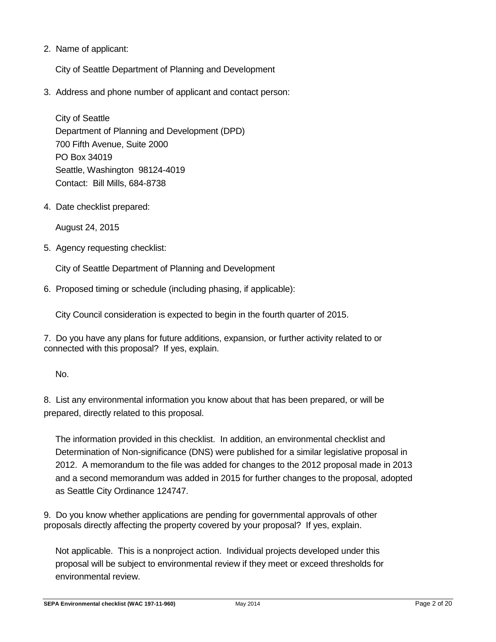2. Name of applicant:

City of Seattle Department of Planning and Development

3. Address and phone number of applicant and contact person:

City of Seattle Department of Planning and Development (DPD) 700 Fifth Avenue, Suite 2000 PO Box 34019 Seattle, Washington 98124-4019 Contact: Bill Mills, 684-8738

4. Date checklist prepared:

August 24, 2015

5. Agency requesting checklist:

City of Seattle Department of Planning and Development

6. Proposed timing or schedule (including phasing, if applicable):

City Council consideration is expected to begin in the fourth quarter of 2015.

7. Do you have any plans for future additions, expansion, or further activity related to or connected with this proposal? If yes, explain.

No.

8. List any environmental information you know about that has been prepared, or will be prepared, directly related to this proposal.

The information provided in this checklist. In addition, an environmental checklist and Determination of Non-significance (DNS) were published for a similar legislative proposal in 2012. A memorandum to the file was added for changes to the 2012 proposal made in 2013 and a second memorandum was added in 2015 for further changes to the proposal, adopted as Seattle City Ordinance 124747.

9. Do you know whether applications are pending for governmental approvals of other proposals directly affecting the property covered by your proposal? If yes, explain.

Not applicable. This is a nonproject action. Individual projects developed under this proposal will be subject to environmental review if they meet or exceed thresholds for environmental review.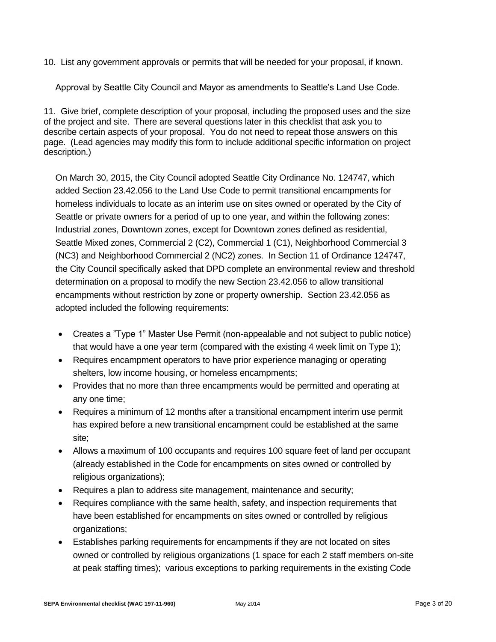10. List any government approvals or permits that will be needed for your proposal, if known.

Approval by Seattle City Council and Mayor as amendments to Seattle's Land Use Code.

11. Give brief, complete description of your proposal, including the proposed uses and the size of the project and site. There are several questions later in this checklist that ask you to describe certain aspects of your proposal. You do not need to repeat those answers on this page. (Lead agencies may modify this form to include additional specific information on project description.)

On March 30, 2015, the City Council adopted Seattle City Ordinance No. 124747, which added Section 23.42.056 to the Land Use Code to permit transitional encampments for homeless individuals to locate as an interim use on sites owned or operated by the City of Seattle or private owners for a period of up to one year, and within the following zones: Industrial zones, Downtown zones, except for Downtown zones defined as residential, Seattle Mixed zones, Commercial 2 (C2), Commercial 1 (C1), Neighborhood Commercial 3 (NC3) and Neighborhood Commercial 2 (NC2) zones. In Section 11 of Ordinance 124747, the City Council specifically asked that DPD complete an environmental review and threshold determination on a proposal to modify the new Section 23.42.056 to allow transitional encampments without restriction by zone or property ownership. Section 23.42.056 as adopted included the following requirements:

- Creates a "Type 1" Master Use Permit (non-appealable and not subject to public notice) that would have a one year term (compared with the existing 4 week limit on Type 1);
- Requires encampment operators to have prior experience managing or operating shelters, low income housing, or homeless encampments;
- Provides that no more than three encampments would be permitted and operating at any one time;
- Requires a minimum of 12 months after a transitional encampment interim use permit has expired before a new transitional encampment could be established at the same site;
- Allows a maximum of 100 occupants and requires 100 square feet of land per occupant (already established in the Code for encampments on sites owned or controlled by religious organizations);
- Requires a plan to address site management, maintenance and security;
- Requires compliance with the same health, safety, and inspection requirements that have been established for encampments on sites owned or controlled by religious organizations;
- Establishes parking requirements for encampments if they are not located on sites owned or controlled by religious organizations (1 space for each 2 staff members on-site at peak staffing times); various exceptions to parking requirements in the existing Code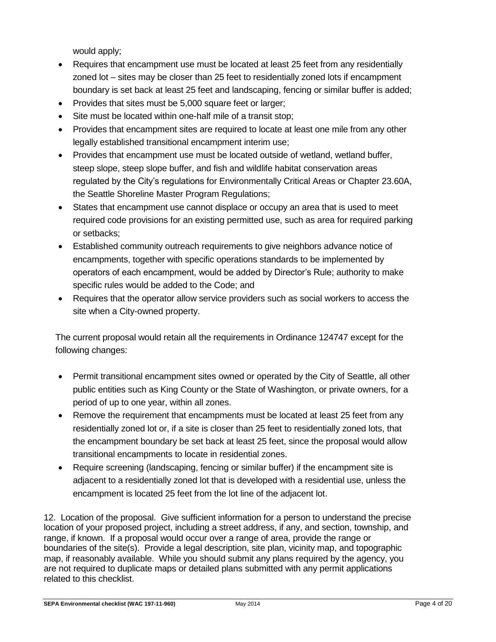would apply;

- Requires that encampment use must be located at least 25 feet from any residentially zoned lot – sites may be closer than 25 feet to residentially zoned lots if encampment boundary is set back at least 25 feet and landscaping, fencing or similar buffer is added;
- Provides that sites must be 5,000 square feet or larger;
- Site must be located within one-half mile of a transit stop;
- Provides that encampment sites are required to locate at least one mile from any other legally established transitional encampment interim use;
- Provides that encampment use must be located outside of wetland, wetland buffer, steep slope, steep slope buffer, and fish and wildlife habitat conservation areas regulated by the City's regulations for Environmentally Critical Areas or Chapter 23.60A, the Seattle Shoreline Master Program Regulations;
- States that encampment use cannot displace or occupy an area that is used to meet required code provisions for an existing permitted use, such as area for required parking or setbacks;
- Established community outreach requirements to give neighbors advance notice of encampments, together with specific operations standards to be implemented by operators of each encampment, would be added by Director's Rule; authority to make specific rules would be added to the Code; and
- Requires that the operator allow service providers such as social workers to access the site when a City-owned property.

The current proposal would retain all the requirements in Ordinance 124747 except for the following changes:

- Permit transitional encampment sites owned or operated by the City of Seattle, all other public entities such as King County or the State of Washington, or private owners, for a period of up to one year, within all zones.
- Remove the requirement that encampments must be located at least 25 feet from any residentially zoned lot or, if a site is closer than 25 feet to residentially zoned lots, that the encampment boundary be set back at least 25 feet, since the proposal would allow transitional encampments to locate in residential zones.
- Require screening (landscaping, fencing or similar buffer) if the encampment site is adjacent to a residentially zoned lot that is developed with a residential use, unless the encampment is located 25 feet from the lot line of the adjacent lot.

12. Location of the proposal. Give sufficient information for a person to understand the precise location of your proposed project, including a street address, if any, and section, township, and range, if known. If a proposal would occur over a range of area, provide the range or boundaries of the site(s). Provide a legal description, site plan, vicinity map, and topographic map, if reasonably available. While you should submit any plans required by the agency, you are not required to duplicate maps or detailed plans submitted with any permit applications related to this checklist.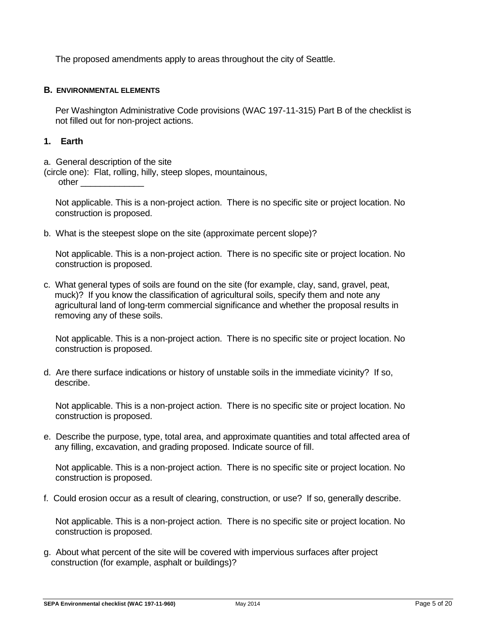The proposed amendments apply to areas throughout the city of Seattle.

#### **B. ENVIRONMENTAL ELEMENTS**

Per Washington Administrative Code provisions (WAC 197-11-315) Part B of the checklist is not filled out for non-project actions.

### **1. Earth**

a. General description of the site

(circle one): Flat, rolling, hilly, steep slopes, mountainous, other \_\_\_\_\_\_\_\_\_\_\_\_\_

Not applicable. This is a non-project action. There is no specific site or project location. No construction is proposed.

b. What is the steepest slope on the site (approximate percent slope)?

Not applicable. This is a non-project action. There is no specific site or project location. No construction is proposed.

c. What general types of soils are found on the site (for example, clay, sand, gravel, peat, muck)? If you know the classification of agricultural soils, specify them and note any agricultural land of long-term commercial significance and whether the proposal results in removing any of these soils.

Not applicable. This is a non-project action. There is no specific site or project location. No construction is proposed.

d. Are there surface indications or history of unstable soils in the immediate vicinity? If so, describe.

Not applicable. This is a non-project action. There is no specific site or project location. No construction is proposed.

e. Describe the purpose, type, total area, and approximate quantities and total affected area of any filling, excavation, and grading proposed. Indicate source of fill.

Not applicable. This is a non-project action. There is no specific site or project location. No construction is proposed.

f. Could erosion occur as a result of clearing, construction, or use? If so, generally describe.

Not applicable. This is a non-project action. There is no specific site or project location. No construction is proposed.

g. About what percent of the site will be covered with impervious surfaces after project construction (for example, asphalt or buildings)?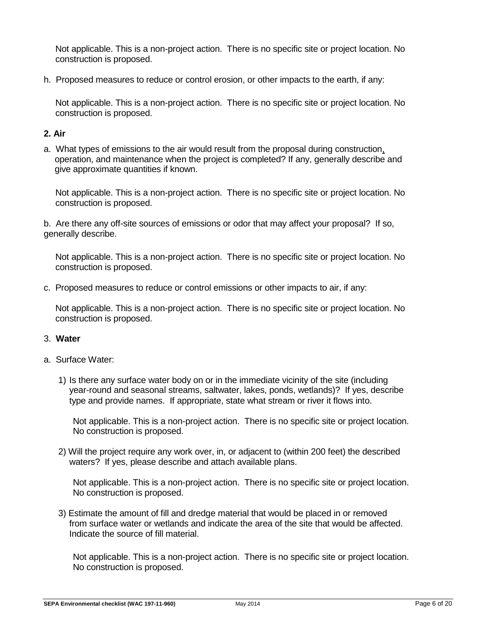Not applicable. This is a non-project action. There is no specific site or project location. No construction is proposed.

h. Proposed measures to reduce or control erosion, or other impacts to the earth, if any:

Not applicable. This is a non-project action. There is no specific site or project location. No construction is proposed.

# **2. Air**

a. What types of emissions to the air would result from the proposal during construction, operation, and maintenance when the project is completed? If any, generally describe and give approximate quantities if known.

Not applicable. This is a non-project action. There is no specific site or project location. No construction is proposed.

b. Are there any off-site sources of emissions or odor that may affect your proposal? If so, generally describe.

Not applicable. This is a non-project action. There is no specific site or project location. No construction is proposed.

c. Proposed measures to reduce or control emissions or other impacts to air, if any:

Not applicable. This is a non-project action. There is no specific site or project location. No construction is proposed.

### 3. **Water**

- a. Surface Water:
	- 1) Is there any surface water body on or in the immediate vicinity of the site (including year-round and seasonal streams, saltwater, lakes, ponds, wetlands)? If yes, describe type and provide names. If appropriate, state what stream or river it flows into.

Not applicable. This is a non-project action. There is no specific site or project location. No construction is proposed.

2) Will the project require any work over, in, or adjacent to (within 200 feet) the described waters? If yes, please describe and attach available plans.

Not applicable. This is a non-project action. There is no specific site or project location. No construction is proposed.

3) Estimate the amount of fill and dredge material that would be placed in or removed from surface water or wetlands and indicate the area of the site that would be affected. Indicate the source of fill material.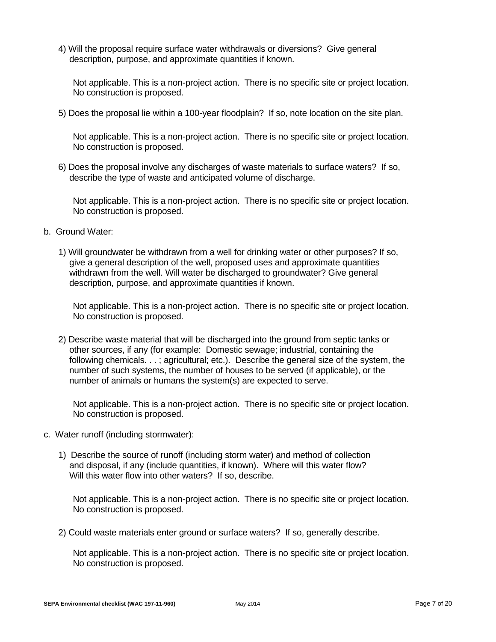4) Will the proposal require surface water withdrawals or diversions? Give general description, purpose, and approximate quantities if known.

Not applicable. This is a non-project action. There is no specific site or project location. No construction is proposed.

5) Does the proposal lie within a 100-year floodplain? If so, note location on the site plan.

Not applicable. This is a non-project action. There is no specific site or project location. No construction is proposed.

6) Does the proposal involve any discharges of waste materials to surface waters? If so, describe the type of waste and anticipated volume of discharge.

Not applicable. This is a non-project action. There is no specific site or project location. No construction is proposed.

- b. Ground Water:
	- 1) Will groundwater be withdrawn from a well for drinking water or other purposes? If so, give a general description of the well, proposed uses and approximate quantities withdrawn from the well. Will water be discharged to groundwater? Give general description, purpose, and approximate quantities if known.

Not applicable. This is a non-project action. There is no specific site or project location. No construction is proposed.

2) Describe waste material that will be discharged into the ground from septic tanks or other sources, if any (for example: Domestic sewage; industrial, containing the following chemicals. . . ; agricultural; etc.). Describe the general size of the system, the number of such systems, the number of houses to be served (if applicable), or the number of animals or humans the system(s) are expected to serve.

Not applicable. This is a non-project action. There is no specific site or project location. No construction is proposed.

- c. Water runoff (including stormwater):
	- 1) Describe the source of runoff (including storm water) and method of collection and disposal, if any (include quantities, if known). Where will this water flow? Will this water flow into other waters? If so, describe.

Not applicable. This is a non-project action. There is no specific site or project location. No construction is proposed.

2) Could waste materials enter ground or surface waters? If so, generally describe.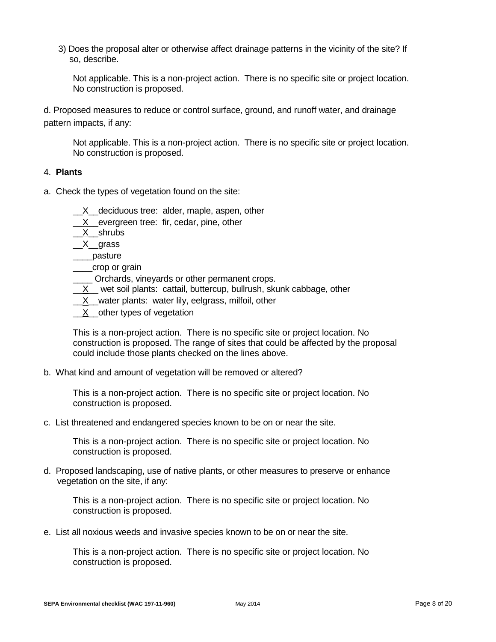3) Does the proposal alter or otherwise affect drainage patterns in the vicinity of the site? If so, describe.

Not applicable. This is a non-project action. There is no specific site or project location. No construction is proposed.

d. Proposed measures to reduce or control surface, ground, and runoff water, and drainage pattern impacts, if any:

Not applicable. This is a non-project action. There is no specific site or project location. No construction is proposed.

### 4. **Plants**

- a. Check the types of vegetation found on the site:
	- X deciduous tree: alder, maple, aspen, other
	- X evergreen tree: fir, cedar, pine, other
	- \_\_X\_\_shrubs
	- $X$ grass
	- \_\_\_\_pasture
	- \_\_\_\_crop or grain
	- \_\_\_\_ Orchards, vineyards or other permanent crops.
	- $X$  wet soil plants: cattail, buttercup, bullrush, skunk cabbage, other
	- X water plants: water lily, eelgrass, milfoil, other
	- X other types of vegetation

This is a non-project action. There is no specific site or project location. No construction is proposed. The range of sites that could be affected by the proposal could include those plants checked on the lines above.

b. What kind and amount of vegetation will be removed or altered?

This is a non-project action. There is no specific site or project location. No construction is proposed.

c. List threatened and endangered species known to be on or near the site.

This is a non-project action. There is no specific site or project location. No construction is proposed.

d. Proposed landscaping, use of native plants, or other measures to preserve or enhance vegetation on the site, if any:

This is a non-project action. There is no specific site or project location. No construction is proposed.

e. List all noxious weeds and invasive species known to be on or near the site.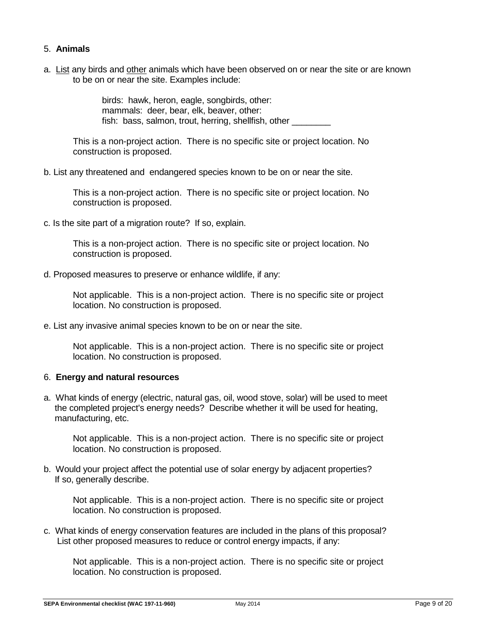# 5. **Animals**

a. List any birds and other animals which have been observed on or near the site or are known to be on or near the site. Examples include:

> birds: hawk, heron, eagle, songbirds, other: mammals: deer, bear, elk, beaver, other: fish: bass, salmon, trout, herring, shellfish, other

This is a non-project action. There is no specific site or project location. No construction is proposed.

b. List any threatened and endangered species known to be on or near the site.

This is a non-project action. There is no specific site or project location. No construction is proposed.

c. Is the site part of a migration route? If so, explain.

This is a non-project action. There is no specific site or project location. No construction is proposed.

d. Proposed measures to preserve or enhance wildlife, if any:

Not applicable. This is a non-project action. There is no specific site or project location. No construction is proposed.

e. List any invasive animal species known to be on or near the site.

Not applicable. This is a non-project action. There is no specific site or project location. No construction is proposed.

### 6. **Energy and natural resources**

a. What kinds of energy (electric, natural gas, oil, wood stove, solar) will be used to meet the completed project's energy needs? Describe whether it will be used for heating, manufacturing, etc.

Not applicable. This is a non-project action. There is no specific site or project location. No construction is proposed.

b. Would your project affect the potential use of solar energy by adjacent properties? If so, generally describe.

Not applicable. This is a non-project action. There is no specific site or project location. No construction is proposed.

c. What kinds of energy conservation features are included in the plans of this proposal? List other proposed measures to reduce or control energy impacts, if any: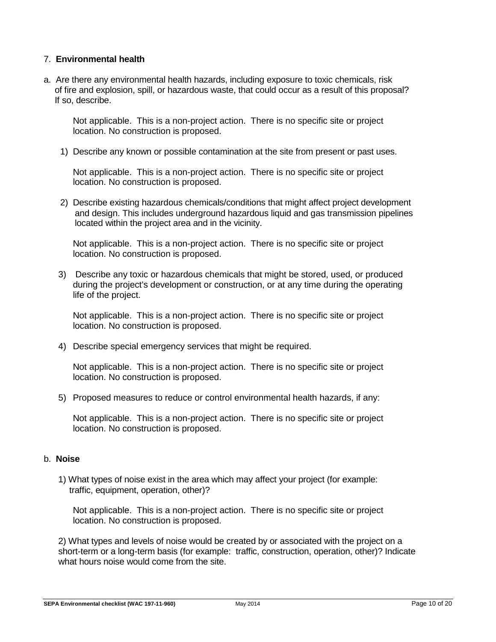## 7. **Environmental health**

a. Are there any environmental health hazards, including exposure to toxic chemicals, risk of fire and explosion, spill, or hazardous waste, that could occur as a result of this proposal? If so, describe.

Not applicable. This is a non-project action. There is no specific site or project location. No construction is proposed.

1) Describe any known or possible contamination at the site from present or past uses.

Not applicable. This is a non-project action. There is no specific site or project location. No construction is proposed.

2) Describe existing hazardous chemicals/conditions that might affect project development and design. This includes underground hazardous liquid and gas transmission pipelines located within the project area and in the vicinity.

Not applicable. This is a non-project action. There is no specific site or project location. No construction is proposed.

3) Describe any toxic or hazardous chemicals that might be stored, used, or produced during the project's development or construction, or at any time during the operating life of the project.

Not applicable. This is a non-project action. There is no specific site or project location. No construction is proposed.

4) Describe special emergency services that might be required.

Not applicable. This is a non-project action. There is no specific site or project location. No construction is proposed.

5) Proposed measures to reduce or control environmental health hazards, if any:

Not applicable. This is a non-project action. There is no specific site or project location. No construction is proposed.

### b. **Noise**

1) What types of noise exist in the area which may affect your project (for example: traffic, equipment, operation, other)?

Not applicable. This is a non-project action. There is no specific site or project location. No construction is proposed.

2) What types and levels of noise would be created by or associated with the project on a short-term or a long-term basis (for example: traffic, construction, operation, other)? Indicate what hours noise would come from the site.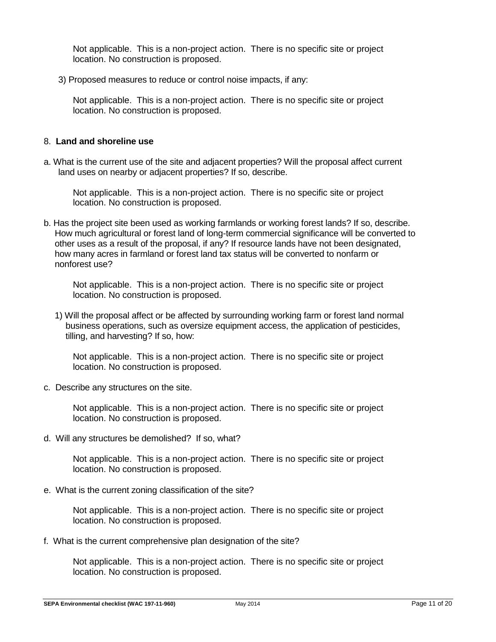Not applicable. This is a non-project action. There is no specific site or project location. No construction is proposed.

3) Proposed measures to reduce or control noise impacts, if any:

Not applicable. This is a non-project action. There is no specific site or project location. No construction is proposed.

#### 8. **Land and shoreline use**

a. What is the current use of the site and adjacent properties? Will the proposal affect current land uses on nearby or adjacent properties? If so, describe.

Not applicable. This is a non-project action. There is no specific site or project location. No construction is proposed.

b. Has the project site been used as working farmlands or working forest lands? If so, describe. How much agricultural or forest land of long-term commercial significance will be converted to other uses as a result of the proposal, if any? If resource lands have not been designated, how many acres in farmland or forest land tax status will be converted to nonfarm or nonforest use?

Not applicable. This is a non-project action. There is no specific site or project location. No construction is proposed.

1) Will the proposal affect or be affected by surrounding working farm or forest land normal business operations, such as oversize equipment access, the application of pesticides, tilling, and harvesting? If so, how:

Not applicable. This is a non-project action. There is no specific site or project location. No construction is proposed.

c. Describe any structures on the site.

Not applicable. This is a non-project action. There is no specific site or project location. No construction is proposed.

d. Will any structures be demolished? If so, what?

Not applicable. This is a non-project action. There is no specific site or project location. No construction is proposed.

e. What is the current zoning classification of the site?

Not applicable. This is a non-project action. There is no specific site or project location. No construction is proposed.

f. What is the current comprehensive plan designation of the site?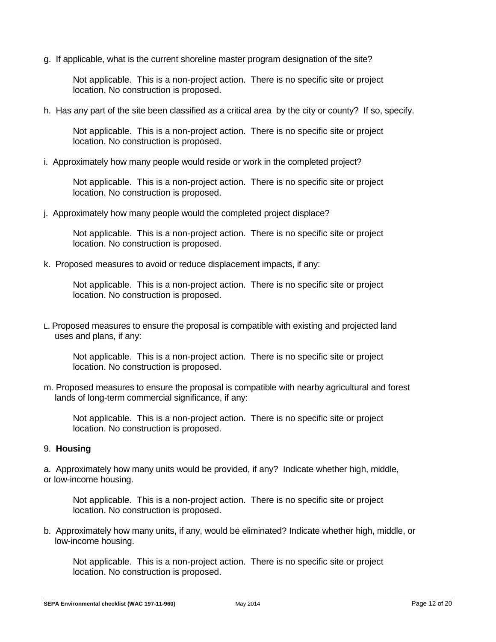g. If applicable, what is the current shoreline master program designation of the site?

Not applicable. This is a non-project action. There is no specific site or project location. No construction is proposed.

h. Has any part of the site been classified as a critical area by the city or county? If so, specify.

Not applicable. This is a non-project action. There is no specific site or project location. No construction is proposed.

i. Approximately how many people would reside or work in the completed project?

Not applicable. This is a non-project action. There is no specific site or project location. No construction is proposed.

j. Approximately how many people would the completed project displace?

Not applicable. This is a non-project action. There is no specific site or project location. No construction is proposed.

k. Proposed measures to avoid or reduce displacement impacts, if any:

Not applicable. This is a non-project action. There is no specific site or project location. No construction is proposed.

L. Proposed measures to ensure the proposal is compatible with existing and projected land uses and plans, if any:

Not applicable. This is a non-project action. There is no specific site or project location. No construction is proposed.

m. Proposed measures to ensure the proposal is compatible with nearby agricultural and forest lands of long-term commercial significance, if any:

Not applicable. This is a non-project action. There is no specific site or project location. No construction is proposed.

### 9. **Housing**

a. Approximately how many units would be provided, if any? Indicate whether high, middle, or low-income housing.

Not applicable. This is a non-project action. There is no specific site or project location. No construction is proposed.

b. Approximately how many units, if any, would be eliminated? Indicate whether high, middle, or low-income housing.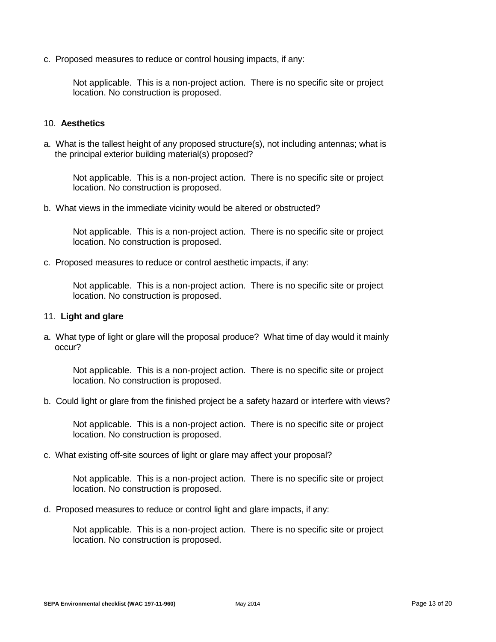c. Proposed measures to reduce or control housing impacts, if any:

Not applicable. This is a non-project action. There is no specific site or project location. No construction is proposed.

#### 10. **Aesthetics**

a. What is the tallest height of any proposed structure(s), not including antennas; what is the principal exterior building material(s) proposed?

Not applicable. This is a non-project action. There is no specific site or project location. No construction is proposed.

b. What views in the immediate vicinity would be altered or obstructed?

Not applicable. This is a non-project action. There is no specific site or project location. No construction is proposed.

c. Proposed measures to reduce or control aesthetic impacts, if any:

Not applicable. This is a non-project action. There is no specific site or project location. No construction is proposed.

#### 11. **Light and glare**

a. What type of light or glare will the proposal produce? What time of day would it mainly occur?

Not applicable. This is a non-project action. There is no specific site or project location. No construction is proposed.

b. Could light or glare from the finished project be a safety hazard or interfere with views?

Not applicable. This is a non-project action. There is no specific site or project location. No construction is proposed.

c. What existing off-site sources of light or glare may affect your proposal?

Not applicable. This is a non-project action. There is no specific site or project location. No construction is proposed.

d. Proposed measures to reduce or control light and glare impacts, if any: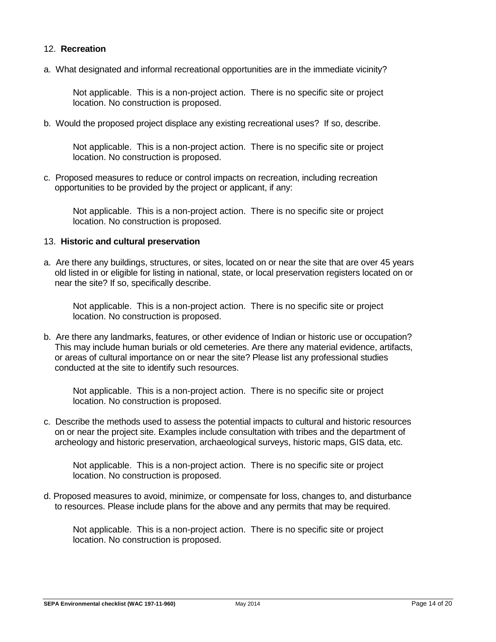## 12. **Recreation**

a. What designated and informal recreational opportunities are in the immediate vicinity?

Not applicable. This is a non-project action. There is no specific site or project location. No construction is proposed.

b. Would the proposed project displace any existing recreational uses? If so, describe.

Not applicable. This is a non-project action. There is no specific site or project location. No construction is proposed.

c. Proposed measures to reduce or control impacts on recreation, including recreation opportunities to be provided by the project or applicant, if any:

Not applicable. This is a non-project action. There is no specific site or project location. No construction is proposed.

#### 13. **Historic and cultural preservation**

a. Are there any buildings, structures, or sites, located on or near the site that are over 45 years old listed in or eligible for listing in national, state, or local preservation registers located on or near the site? If so, specifically describe.

Not applicable. This is a non-project action. There is no specific site or project location. No construction is proposed.

b. Are there any landmarks, features, or other evidence of Indian or historic use or occupation? This may include human burials or old cemeteries. Are there any material evidence, artifacts, or areas of cultural importance on or near the site? Please list any professional studies conducted at the site to identify such resources.

Not applicable. This is a non-project action. There is no specific site or project location. No construction is proposed.

c. Describe the methods used to assess the potential impacts to cultural and historic resources on or near the project site. Examples include consultation with tribes and the department of archeology and historic preservation, archaeological surveys, historic maps, GIS data, etc.

Not applicable. This is a non-project action. There is no specific site or project location. No construction is proposed.

d. Proposed measures to avoid, minimize, or compensate for loss, changes to, and disturbance to resources. Please include plans for the above and any permits that may be required.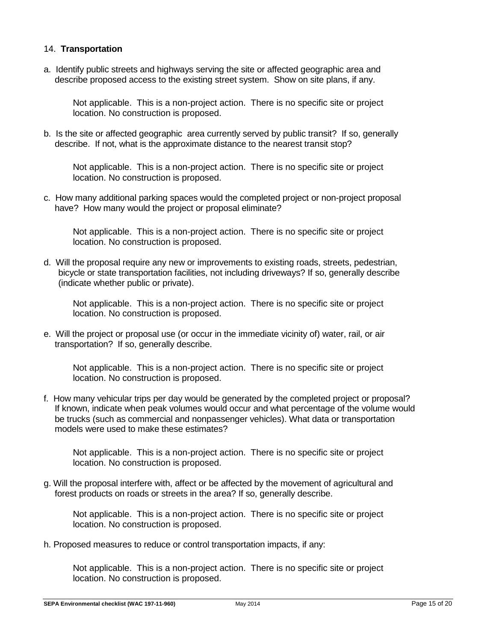## 14. **Transportation**

a. Identify public streets and highways serving the site or affected geographic area and describe proposed access to the existing street system. Show on site plans, if any.

Not applicable. This is a non-project action. There is no specific site or project location. No construction is proposed.

b. Is the site or affected geographic area currently served by public transit? If so, generally describe. If not, what is the approximate distance to the nearest transit stop?

Not applicable. This is a non-project action. There is no specific site or project location. No construction is proposed.

c. How many additional parking spaces would the completed project or non-project proposal have? How many would the project or proposal eliminate?

Not applicable. This is a non-project action. There is no specific site or project location. No construction is proposed.

d. Will the proposal require any new or improvements to existing roads, streets, pedestrian, bicycle or state transportation facilities, not including driveways? If so, generally describe (indicate whether public or private).

Not applicable. This is a non-project action. There is no specific site or project location. No construction is proposed.

e. Will the project or proposal use (or occur in the immediate vicinity of) water, rail, or air transportation? If so, generally describe.

Not applicable. This is a non-project action. There is no specific site or project location. No construction is proposed.

f. How many vehicular trips per day would be generated by the completed project or proposal? If known, indicate when peak volumes would occur and what percentage of the volume would be trucks (such as commercial and nonpassenger vehicles). What data or transportation models were used to make these estimates?

Not applicable. This is a non-project action. There is no specific site or project location. No construction is proposed.

g. Will the proposal interfere with, affect or be affected by the movement of agricultural and forest products on roads or streets in the area? If so, generally describe.

Not applicable. This is a non-project action. There is no specific site or project location. No construction is proposed.

h. Proposed measures to reduce or control transportation impacts, if any: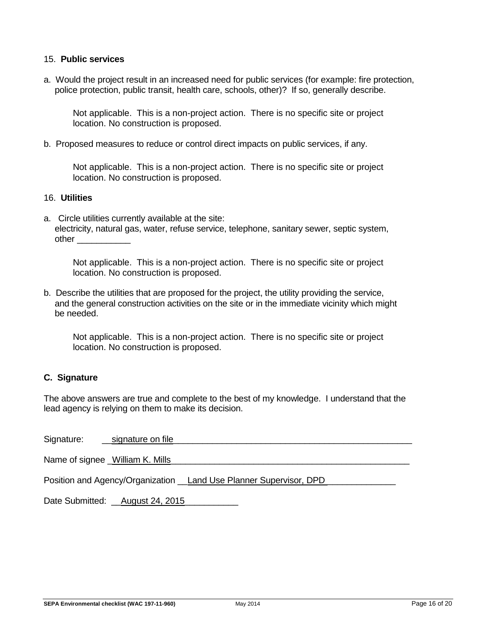#### 15. **Public services**

a. Would the project result in an increased need for public services (for example: fire protection, police protection, public transit, health care, schools, other)? If so, generally describe.

Not applicable. This is a non-project action. There is no specific site or project location. No construction is proposed.

b. Proposed measures to reduce or control direct impacts on public services, if any.

Not applicable. This is a non-project action. There is no specific site or project location. No construction is proposed.

### 16. **Utilities**

a. Circle utilities currently available at the site: electricity, natural gas, water, refuse service, telephone, sanitary sewer, septic system, other \_\_\_\_\_\_\_\_\_\_\_

Not applicable. This is a non-project action. There is no specific site or project location. No construction is proposed.

b. Describe the utilities that are proposed for the project, the utility providing the service, and the general construction activities on the site or in the immediate vicinity which might be needed.

Not applicable. This is a non-project action. There is no specific site or project location. No construction is proposed.

### **C. Signature**

The above answers are true and complete to the best of my knowledge. I understand that the lead agency is relying on them to make its decision.

Signature: example on file that is a signature on file  $\sim$ 

Name of signee \_William K. Mills

Position and Agency/Organization Land Use Planner Supervisor, DPD

Date Submitted: August 24, 2015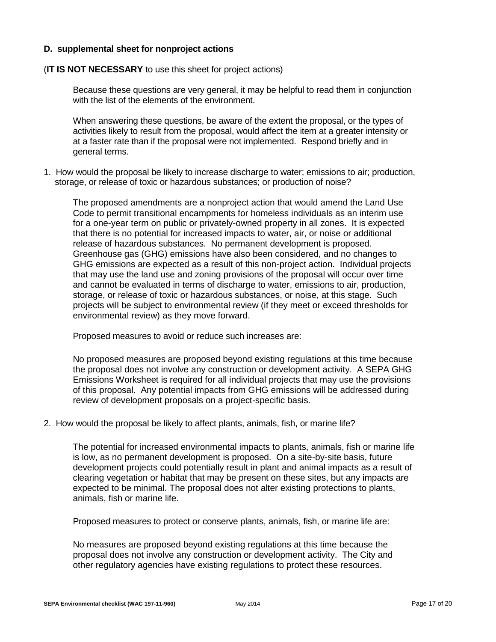## **D. supplemental sheet for nonproject actions**

### (**IT IS NOT NECESSARY** to use this sheet for project actions)

Because these questions are very general, it may be helpful to read them in conjunction with the list of the elements of the environment.

When answering these questions, be aware of the extent the proposal, or the types of activities likely to result from the proposal, would affect the item at a greater intensity or at a faster rate than if the proposal were not implemented. Respond briefly and in general terms.

1. How would the proposal be likely to increase discharge to water; emissions to air; production, storage, or release of toxic or hazardous substances; or production of noise?

The proposed amendments are a nonproject action that would amend the Land Use Code to permit transitional encampments for homeless individuals as an interim use for a one-year term on public or privately-owned property in all zones. It is expected that there is no potential for increased impacts to water, air, or noise or additional release of hazardous substances. No permanent development is proposed. Greenhouse gas (GHG) emissions have also been considered, and no changes to GHG emissions are expected as a result of this non-project action. Individual projects that may use the land use and zoning provisions of the proposal will occur over time and cannot be evaluated in terms of discharge to water, emissions to air, production, storage, or release of toxic or hazardous substances, or noise, at this stage. Such projects will be subject to environmental review (if they meet or exceed thresholds for environmental review) as they move forward.

Proposed measures to avoid or reduce such increases are:

No proposed measures are proposed beyond existing regulations at this time because the proposal does not involve any construction or development activity. A SEPA GHG Emissions Worksheet is required for all individual projects that may use the provisions of this proposal. Any potential impacts from GHG emissions will be addressed during review of development proposals on a project-specific basis.

2. How would the proposal be likely to affect plants, animals, fish, or marine life?

The potential for increased environmental impacts to plants, animals, fish or marine life is low, as no permanent development is proposed. On a site-by-site basis, future development projects could potentially result in plant and animal impacts as a result of clearing vegetation or habitat that may be present on these sites, but any impacts are expected to be minimal. The proposal does not alter existing protections to plants, animals, fish or marine life.

Proposed measures to protect or conserve plants, animals, fish, or marine life are:

No measures are proposed beyond existing regulations at this time because the proposal does not involve any construction or development activity. The City and other regulatory agencies have existing regulations to protect these resources.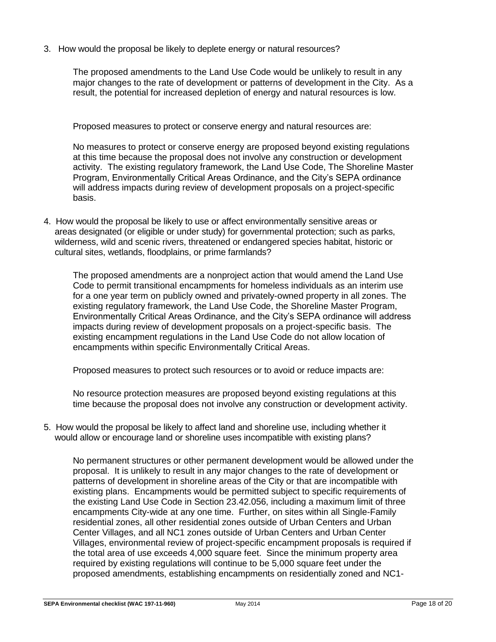3. How would the proposal be likely to deplete energy or natural resources?

The proposed amendments to the Land Use Code would be unlikely to result in any major changes to the rate of development or patterns of development in the City. As a result, the potential for increased depletion of energy and natural resources is low.

Proposed measures to protect or conserve energy and natural resources are:

No measures to protect or conserve energy are proposed beyond existing regulations at this time because the proposal does not involve any construction or development activity. The existing regulatory framework, the Land Use Code, The Shoreline Master Program, Environmentally Critical Areas Ordinance, and the City's SEPA ordinance will address impacts during review of development proposals on a project-specific basis.

4. How would the proposal be likely to use or affect environmentally sensitive areas or areas designated (or eligible or under study) for governmental protection; such as parks, wilderness, wild and scenic rivers, threatened or endangered species habitat, historic or cultural sites, wetlands, floodplains, or prime farmlands?

The proposed amendments are a nonproject action that would amend the Land Use Code to permit transitional encampments for homeless individuals as an interim use for a one year term on publicly owned and privately-owned property in all zones. The existing regulatory framework, the Land Use Code, the Shoreline Master Program, Environmentally Critical Areas Ordinance, and the City's SEPA ordinance will address impacts during review of development proposals on a project-specific basis. The existing encampment regulations in the Land Use Code do not allow location of encampments within specific Environmentally Critical Areas.

Proposed measures to protect such resources or to avoid or reduce impacts are:

No resource protection measures are proposed beyond existing regulations at this time because the proposal does not involve any construction or development activity.

5. How would the proposal be likely to affect land and shoreline use, including whether it would allow or encourage land or shoreline uses incompatible with existing plans?

No permanent structures or other permanent development would be allowed under the proposal. It is unlikely to result in any major changes to the rate of development or patterns of development in shoreline areas of the City or that are incompatible with existing plans. Encampments would be permitted subject to specific requirements of the existing Land Use Code in Section 23.42.056, including a maximum limit of three encampments City-wide at any one time. Further, on sites within all Single-Family residential zones, all other residential zones outside of Urban Centers and Urban Center Villages, and all NC1 zones outside of Urban Centers and Urban Center Villages, environmental review of project-specific encampment proposals is required if the total area of use exceeds 4,000 square feet. Since the minimum property area required by existing regulations will continue to be 5,000 square feet under the proposed amendments, establishing encampments on residentially zoned and NC1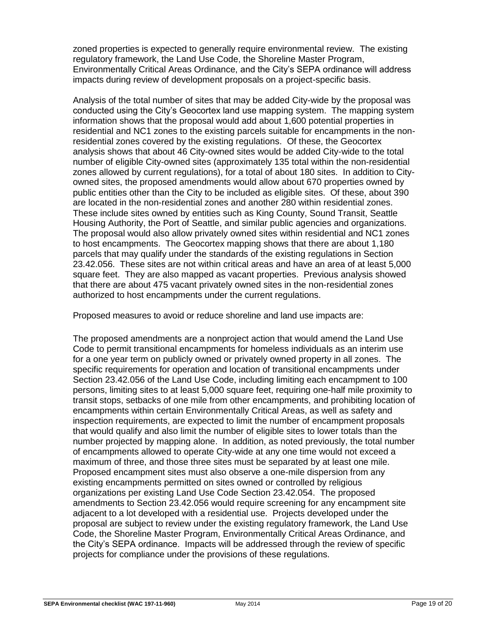zoned properties is expected to generally require environmental review. The existing regulatory framework, the Land Use Code, the Shoreline Master Program, Environmentally Critical Areas Ordinance, and the City's SEPA ordinance will address impacts during review of development proposals on a project-specific basis.

Analysis of the total number of sites that may be added City-wide by the proposal was conducted using the City's Geocortex land use mapping system. The mapping system information shows that the proposal would add about 1,600 potential properties in residential and NC1 zones to the existing parcels suitable for encampments in the nonresidential zones covered by the existing regulations. Of these, the Geocortex analysis shows that about 46 City-owned sites would be added City-wide to the total number of eligible City-owned sites (approximately 135 total within the non-residential zones allowed by current regulations), for a total of about 180 sites. In addition to Cityowned sites, the proposed amendments would allow about 670 properties owned by public entities other than the City to be included as eligible sites. Of these, about 390 are located in the non-residential zones and another 280 within residential zones. These include sites owned by entities such as King County, Sound Transit, Seattle Housing Authority, the Port of Seattle, and similar public agencies and organizations. The proposal would also allow privately owned sites within residential and NC1 zones to host encampments. The Geocortex mapping shows that there are about 1,180 parcels that may qualify under the standards of the existing regulations in Section 23.42.056. These sites are not within critical areas and have an area of at least 5,000 square feet. They are also mapped as vacant properties. Previous analysis showed that there are about 475 vacant privately owned sites in the non-residential zones authorized to host encampments under the current regulations.

Proposed measures to avoid or reduce shoreline and land use impacts are:

The proposed amendments are a nonproject action that would amend the Land Use Code to permit transitional encampments for homeless individuals as an interim use for a one year term on publicly owned or privately owned property in all zones. The specific requirements for operation and location of transitional encampments under Section 23.42.056 of the Land Use Code, including limiting each encampment to 100 persons, limiting sites to at least 5,000 square feet, requiring one-half mile proximity to transit stops, setbacks of one mile from other encampments, and prohibiting location of encampments within certain Environmentally Critical Areas, as well as safety and inspection requirements, are expected to limit the number of encampment proposals that would qualify and also limit the number of eligible sites to lower totals than the number projected by mapping alone. In addition, as noted previously, the total number of encampments allowed to operate City-wide at any one time would not exceed a maximum of three, and those three sites must be separated by at least one mile. Proposed encampment sites must also observe a one-mile dispersion from any existing encampments permitted on sites owned or controlled by religious organizations per existing Land Use Code Section 23.42.054. The proposed amendments to Section 23.42.056 would require screening for any encampment site adjacent to a lot developed with a residential use. Projects developed under the proposal are subject to review under the existing regulatory framework, the Land Use Code, the Shoreline Master Program, Environmentally Critical Areas Ordinance, and the City's SEPA ordinance. Impacts will be addressed through the review of specific projects for compliance under the provisions of these regulations.